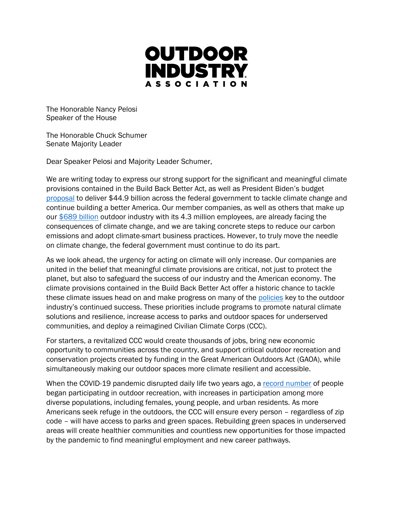

The Honorable Nancy Pelosi Speaker of the House

The Honorable Chuck Schumer Senate Majority Leader

Dear Speaker Pelosi and Majority Leader Schumer,

We are writing today to express our strong support for the significant and meaningful climate provisions contained in the Build Back Better Act, as well as President Biden's budget [proposal](https://www.whitehouse.gov/wp-content/uploads/2022/03/budget_fy2023.pdf) to deliver \$44.9 billion across the federal government to tackle climate change and continue building a better America. Our member companies, as well as others that make up our [\\$689 billion](https://outdoorindustry.org/advocacy/) outdoor industry with its 4.3 million employees, are already facing the consequences of climate change, and we are taking concrete steps to reduce our carbon emissions and adopt climate-smart business practices. However, to truly move the needle on climate change, the federal government must continue to do its part.

As we look ahead, the urgency for acting on climate will only increase. Our companies are united in the belief that meaningful climate provisions are critical, not just to protect the planet, but also to safeguard the success of our industry and the American economy. The climate provisions contained in the Build Back Better Act offer a historic chance to tackle these climate issues head on and make progress on many of the [policies](https://outdoorindustry.org/wp-content/uploads/2015/03/OIA-Federal-Climate-Priorities-117th-Congress-June-2021.pdf) key to the outdoor industry's continued success. These priorities include programs to promote natural climate solutions and resilience, increase access to parks and outdoor spaces for underserved communities, and deploy a reimagined Civilian Climate Corps (CCC).

For starters, a revitalized CCC would create thousands of jobs, bring new economic opportunity to communities across the country, and support critical outdoor recreation and conservation projects created by funding in the Great American Outdoors Act (GAOA), while simultaneously making our outdoor spaces more climate resilient and accessible.

When the COVID-19 pandemic disrupted daily life two years ago, a [record number](https://outdoorindustry.org/resource/2021-outdoor-participation-trends-report/) of people began participating in outdoor recreation, with increases in participation among more diverse populations, including females, young people, and urban residents. As more Americans seek refuge in the outdoors, the CCC will ensure every person – regardless of zip code – will have access to parks and green spaces. Rebuilding green spaces in underserved areas will create healthier communities and countless new opportunities for those impacted by the pandemic to find meaningful employment and new career pathways.